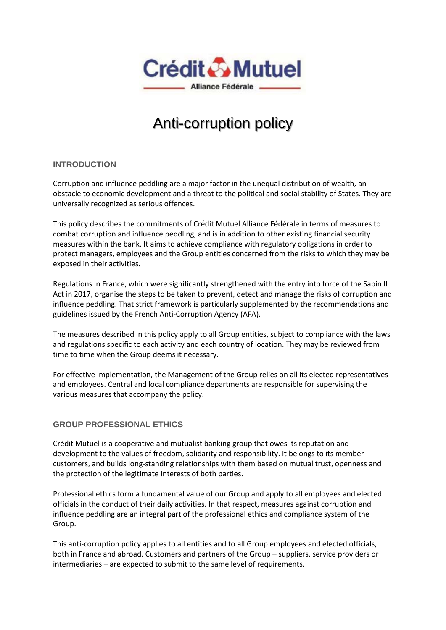

# Anti‐corruption policy

### **INTRODUCTION**

Corruption and influence peddling are a major factor in the unequal distribution of wealth, an obstacle to economic development and a threat to the political and social stability of States. They are universally recognized as serious offences.

This policy describes the commitments of Crédit Mutuel Alliance Fédérale in terms of measures to combat corruption and influence peddling, and is in addition to other existing financial security measures within the bank. It aims to achieve compliance with regulatory obligations in order to protect managers, employees and the Group entities concerned from the risks to which they may be exposed in their activities.

Regulations in France, which were significantly strengthened with the entry into force of the Sapin II Act in 2017, organise the steps to be taken to prevent, detect and manage the risks of corruption and influence peddling. That strict framework is particularly supplemented by the recommendations and guidelines issued by the French Anti‐Corruption Agency (AFA).

The measures described in this policy apply to all Group entities, subject to compliance with the laws and regulations specific to each activity and each country of location. They may be reviewed from time to time when the Group deems it necessary.

For effective implementation, the Management of the Group relies on all its elected representatives and employees. Central and local compliance departments are responsible for supervising the various measures that accompany the policy.

### **GROUP PROFESSIONAL ETHICS**

Crédit Mutuel is a cooperative and mutualist banking group that owes its reputation and development to the values of freedom, solidarity and responsibility. It belongs to its member customers, and builds long‐standing relationships with them based on mutual trust, openness and the protection of the legitimate interests of both parties.

Professional ethics form a fundamental value of our Group and apply to all employees and elected officials in the conduct of their daily activities. In that respect, measures against corruption and influence peddling are an integral part of the professional ethics and compliance system of the Group.

This anti-corruption policy applies to all entities and to all Group employees and elected officials, both in France and abroad. Customers and partners of the Group – suppliers, service providers or intermediaries – are expected to submit to the same level of requirements.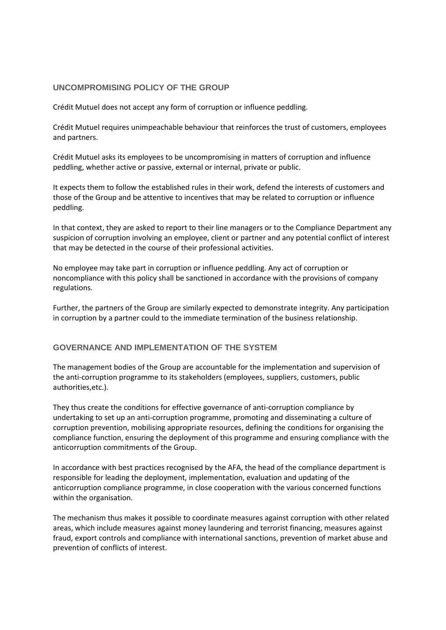### **UNCOMPROMISING POLICY OF THE GROUP**

Crédit Mutuel does not accept any form of corruption or influence peddling.

Crédit Mutuel requires unimpeachable behaviour that reinforces the trust of customers, employees and partners.

Crédit Mutuel asks its employees to be uncompromising in matters of corruption and influence peddling, whether active or passive, external or internal, private or public.

It expects them to follow the established rules in their work, defend the interests of customers and those of the Group and be attentive to incentives that may be related to corruption or influence peddling.

In that context, they are asked to report to their line managers or to the Compliance Department any suspicion of corruption involving an employee, client or partner and any potential conflict of interest that may be detected in the course of their professional activities.

No employee may take part in corruption or influence peddling. Any act of corruption or noncompliance with this policy shall be sanctioned in accordance with the provisions of company regulations.

Further, the partners of the Group are similarly expected to demonstrate integrity. Any participation in corruption by a partner could to the immediate termination of the business relationship.

### **GOVERNANCE AND IMPLEMENTATION OF THE SYSTEM**

The management bodies of the Group are accountable for the implementation and supervision of the anti‐corruption programme to its stakeholders (employees, suppliers, customers, public authorities,etc.).

They thus create the conditions for effective governance of anti-corruption compliance by undertaking to set up an anti‐corruption programme, promoting and disseminating a culture of corruption prevention, mobilising appropriate resources, defining the conditions for organising the compliance function, ensuring the deployment of this programme and ensuring compliance with the anticorruption commitments of the Group.

In accordance with best practices recognised by the AFA, the head of the compliance department is responsible for leading the deployment, implementation, evaluation and updating of the anticorruption compliance programme, in close cooperation with the various concerned functions within the organisation.

The mechanism thus makes it possible to coordinate measures against corruption with other related areas, which include measures against money laundering and terrorist financing, measures against fraud, export controls and compliance with international sanctions, prevention of market abuse and prevention of conflicts of interest.